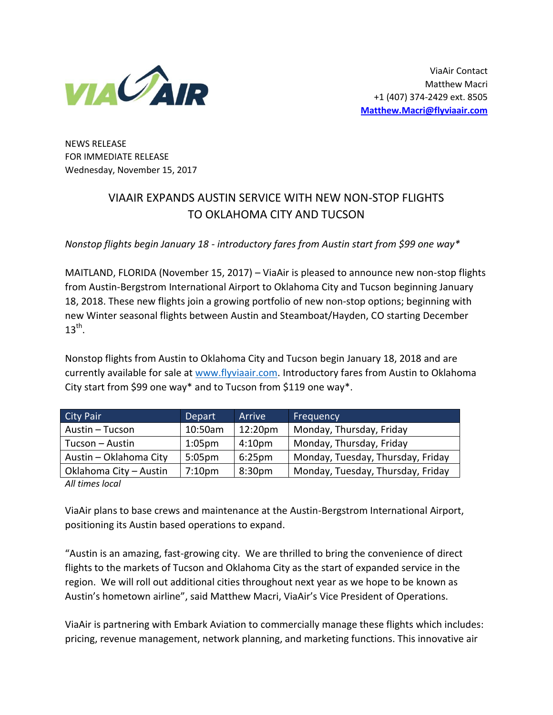

NEWS RELEASE FOR IMMEDIATE RELEASE Wednesday, November 15, 2017

## VIAAIR EXPANDS AUSTIN SERVICE WITH NEW NON-STOP FLIGHTS TO OKLAHOMA CITY AND TUCSON

*Nonstop flights begin January 18 - introductory fares from Austin start from \$99 one way\** 

MAITLAND, FLORIDA (November 15, 2017) – ViaAir is pleased to announce new non-stop flights from Austin-Bergstrom International Airport to Oklahoma City and Tucson beginning January 18, 2018. These new flights join a growing portfolio of new non-stop options; beginning with new Winter seasonal flights between Austin and Steamboat/Hayden, CO starting December  $13^{\text{th}}$ .

Nonstop flights from Austin to Oklahoma City and Tucson begin January 18, 2018 and are currently available for sale at [www.flyviaair.com.](http://www.flyviaair.com/) Introductory fares from Austin to Oklahoma City start from \$99 one way\* and to Tucson from \$119 one way\*.

| <b>City Pair</b>       | <b>Depart</b>      | Arrive             | Frequency                         |
|------------------------|--------------------|--------------------|-----------------------------------|
| Austin - Tucson        | 10:50am            | 12:20pm            | Monday, Thursday, Friday          |
| Tucson - Austin        | 1:05 <sub>pm</sub> | 4:10 <sub>pm</sub> | Monday, Thursday, Friday          |
| Austin - Oklahoma City | 5:05 <sub>pm</sub> | 6:25 <sub>pm</sub> | Monday, Tuesday, Thursday, Friday |
| Oklahoma City - Austin | 7:10 <sub>pm</sub> | 8:30 <sub>pm</sub> | Monday, Tuesday, Thursday, Friday |

*All times local*

ViaAir plans to base crews and maintenance at the Austin-Bergstrom International Airport, positioning its Austin based operations to expand.

"Austin is an amazing, fast-growing city. We are thrilled to bring the convenience of direct flights to the markets of Tucson and Oklahoma City as the start of expanded service in the region. We will roll out additional cities throughout next year as we hope to be known as Austin's hometown airline", said Matthew Macri, ViaAir's Vice President of Operations.

ViaAir is partnering with Embark Aviation to commercially manage these flights which includes: pricing, revenue management, network planning, and marketing functions. This innovative air